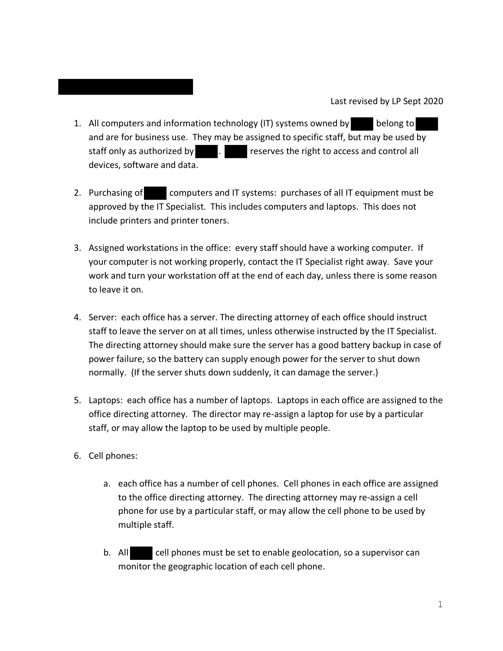- 1. All computers and information technology (IT) systems owned by belong to and are for business use. They may be assigned to specific staff, but may be used by staff only as authorized by **contract in the right to access and control all** devices, software and data.
- 2. Purchasing of computers and IT systems: purchases of all IT equipment must be approved by the IT Specialist. This includes computers and laptops. This does not include printers and printer toners.
- 3. Assigned workstations in the office: every staff should have a working computer. If your computer is not working properly, contact the IT Specialist right away. Save your work and turn your workstation off at the end of each day, unless there is some reason to leave it on.
- 4. Server: each office has a server. The directing attorney of each office should instruct staff to leave the server on at all times, unless otherwise instructed by the IT Specialist. The directing attorney should make sure the server has a good battery backup in case of power failure, so the battery can supply enough power for the server to shut down normally. (If the server shuts down suddenly, it can damage the server.)
- 5. Laptops: each office has a number of laptops. Laptops in each office are assigned to the office directing attorney. The director may re-assign a laptop for use by a particular staff, or may allow the laptop to be used by multiple people.
- 6. Cell phones:
	- a. each office has a number of cell phones. Cell phones in each office are assigned to the office directing attorney. The directing attorney may re-assign a cell phone for use by a particular staff, or may allow the cell phone to be used by multiple staff.
	- b. All cell phones must be set to enable geolocation, so a supervisor can monitor the geographic location of each cell phone.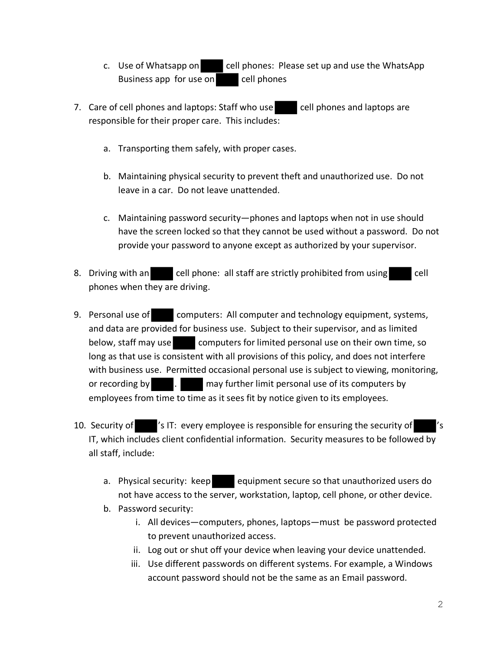- c. Use of Whatsapp on cell phones: Please set up and use the WhatsApp Business app for use on each cell phones
- 7. Care of cell phones and laptops: Staff who use cell phones and laptops are responsible for their proper care. This includes:
	- a. Transporting them safely, with proper cases.
	- b. Maintaining physical security to prevent theft and unauthorized use. Do not leave in a car. Do not leave unattended.
	- c. Maintaining password security—phones and laptops when not in use should have the screen locked so that they cannot be used without a password. Do not provide your password to anyone except as authorized by your supervisor.
- 8. Driving with an cell phone: all staff are strictly prohibited from using cell phones when they are driving.
- 9. Personal use of computers: All computer and technology equipment, systems, and data are provided for business use. Subject to their supervisor, and as limited below, staff may use computers for limited personal use on their own time, so long as that use is consistent with all provisions of this policy, and does not interfere with business use. Permitted occasional personal use is subject to viewing, monitoring, or recording by  $\blacksquare$ . may further limit personal use of its computers by employees from time to time as it sees fit by notice given to its employees.
- 10. Security of 's IT: every employee is responsible for ensuring the security of 's IT, which includes client confidential information. Security measures to be followed by all staff, include:
	- a. Physical security: keep equipment secure so that unauthorized users do not have access to the server, workstation, laptop, cell phone, or other device.
	- b. Password security:
		- i. All devices—computers, phones, laptops—must be password protected to prevent unauthorized access.
		- ii. Log out or shut off your device when leaving your device unattended.
		- iii. Use different passwords on different systems. For example, a Windows account password should not be the same as an Email password.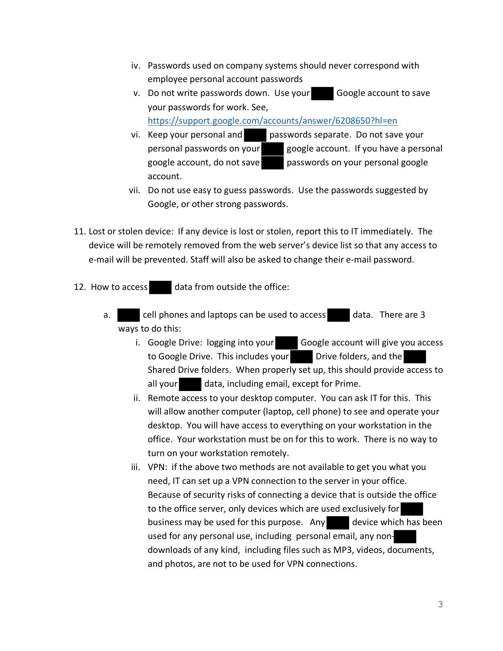- iv. Passwords used on company systems should never correspond with employee personal account passwords
- v. Do not write passwords down. Use your Google account to save your passwords for work. See, https://support.google.com/accounts/answer/6208650?hl=en
- vi. Keep your personal and passwords separate. Do not save your personal passwords on your google account. If you have a personal google account, do not save passwords on your personal google account.
- vii. Do not use easy to guess passwords. Use the passwords suggested by Google, or other strong passwords.
- 11. Lost or stolen device: If any device is lost or stolen, report this to IT immediately. The device will be remotely removed from the web server's device list so that any access to e-mail will be prevented. Staff will also be asked to change their e-mail password.
- 12. How to access data from outside the office:
	- a. cell phones and laptops can be used to access data. There are 3 ways to do this:
		- i. Google Drive: logging into your Google account will give you access to Google Drive. This includes your Drive folders, and the Shared Drive folders. When properly set up, this should provide access to all your data, including email, except for Prime.
		- ii. Remote access to your desktop computer. You can ask IT for this. This will allow another computer (laptop, cell phone) to see and operate your desktop. You will have access to everything on your workstation in the office. Your workstation must be on for this to work. There is no way to turn on your workstation remotely.
		- iii. VPN: if the above two methods are not available to get you what you need, IT can set up a VPN connection to the server in your office. Because of security risks of connecting a device that is outside the office to the office server, only devices which are used exclusively for business may be used for this purpose. Any device which has been used for any personal use, including personal email, any nondownloads of any kind, including files such as MP3, videos, documents, and photos, are not to be used for VPN connections.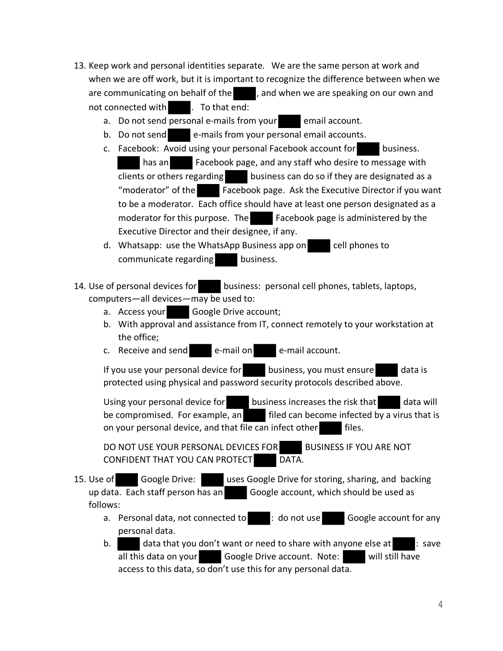- 13. Keep work and personal identities separate. We are the same person at work and when we are off work, but it is important to recognize the difference between when we are communicating on behalf of the  $\blacksquare$ , and when we are speaking on our own and not connected with . To that end:
	- a. Do not send personal e-mails from your email account.
	- b. Do not send e-mails from your personal email accounts.
	- c. Facebook: Avoid using your personal Facebook account for business. has an Facebook page, and any staff who desire to message with clients or others regarding business can do so if they are designated as a "moderator" of the Facebook page. Ask the Executive Director if you want to be a moderator. Each office should have at least one person designated as a moderator for this purpose. The Facebook page is administered by the Executive Director and their designee, if any.
	- d. Whatsapp: use the WhatsApp Business app on cell phones to communicate regarding business.
- 14. Use of personal devices for business: personal cell phones, tablets, laptops, computers—all devices—may be used to:
	- a. Access your Google Drive account;
	- b. With approval and assistance from IT, connect remotely to your workstation at the office;
	- c. Receive and send e-mail on e-mail account.

If you use your personal device for business, you must ensure data is protected using physical and password security protocols described above.

Using your personal device for business increases the risk that data will be compromised. For example, an filed can become infected by a virus that is on your personal device, and that file can infect other files.

DO NOT USE YOUR PERSONAL DEVICES FOR BUSINESS IF YOU ARE NOT CONFIDENT THAT YOU CAN PROTECT DATA.

- 15. Use of Google Drive: uses Google Drive for storing, sharing, and backing up data. Each staff person has an Google account, which should be used as follows:
	- a. Personal data, not connected to : : do not use Google account for any personal data.
	- b. data that you don't want or need to share with anyone else at : save all this data on your Google Drive account. Note: will still have access to this data, so don't use this for any personal data.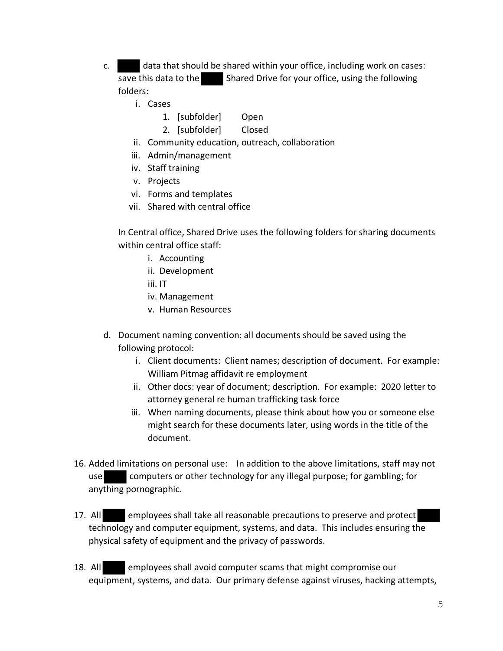- c. data that should be shared within your office, including work on cases: save this data to the Shared Drive for your office, using the following folders:
	- i. Cases
		- 1. [subfolder] Open
		- 2. [subfolder] Closed
	- ii. Community education, outreach, collaboration
	- iii. Admin/management
	- iv. Staff training
	- v. Projects
	- vi. Forms and templates
	- vii. Shared with central office

In Central office, Shared Drive uses the following folders for sharing documents within central office staff:

- i. Accounting
- ii. Development
- iii. IT
- iv. Management
- v. Human Resources
- d. Document naming convention: all documents should be saved using the following protocol:
	- i. Client documents: Client names; description of document. For example: William Pitmag affidavit re employment
	- ii. Other docs: year of document; description. For example: 2020 letter to attorney general re human trafficking task force
	- iii. When naming documents, please think about how you or someone else might search for these documents later, using words in the title of the document.
- 16. Added limitations on personal use: In addition to the above limitations, staff may not use computers or other technology for any illegal purpose; for gambling; for anything pornographic.
- 17. All employees shall take all reasonable precautions to preserve and protect technology and computer equipment, systems, and data. This includes ensuring the physical safety of equipment and the privacy of passwords.
- 18. All employees shall avoid computer scams that might compromise our equipment, systems, and data. Our primary defense against viruses, hacking attempts,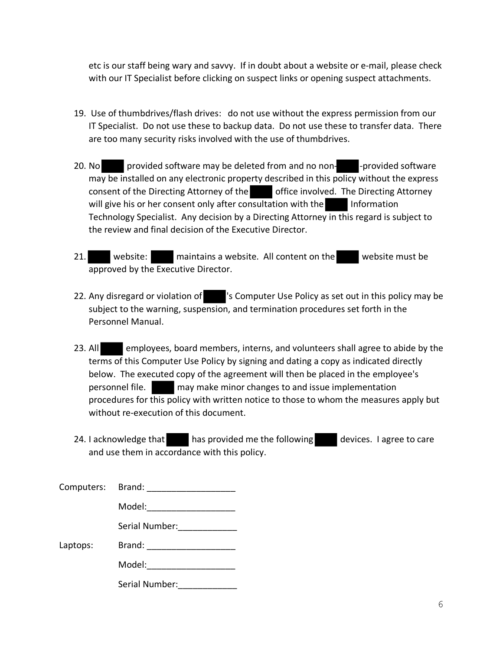etc is our staff being wary and savvy. If in doubt about a website or e-mail, please check with our IT Specialist before clicking on suspect links or opening suspect attachments.

- 19. Use of thumbdrives/flash drives: do not use without the express permission from our IT Specialist. Do not use these to backup data. Do not use these to transfer data. There are too many security risks involved with the use of thumbdrives.
- 20. No provided software may be deleted from and no non-<br>
a provided software may be installed on any electronic property described in this policy without the express consent of the Directing Attorney of the office involved. The Directing Attorney will give his or her consent only after consultation with the Information Technology Specialist. Any decision by a Directing Attorney in this regard is subject to the review and final decision of the Executive Director.
- 21. website: maintains a website. All content on the website must be approved by the Executive Director.
- 22. Any disregard or violation of 's Computer Use Policy as set out in this policy may be subject to the warning, suspension, and termination procedures set forth in the Personnel Manual.
- 23. All employees, board members, interns, and volunteers shall agree to abide by the terms of this Computer Use Policy by signing and dating a copy as indicated directly below. The executed copy of the agreement will then be placed in the employee's personnel file. may make minor changes to and issue implementation procedures for this policy with written notice to those to whom the measures apply but without re-execution of this document.
- 24. I acknowledge that has provided me the following devices. I agree to care and use them in accordance with this policy.

| Computers: Brand: |                |  |
|-------------------|----------------|--|
| Laptops:          | Model:         |  |
|                   | Serial Number: |  |
|                   | Brand:         |  |
|                   | Model:         |  |
|                   | Serial Number: |  |